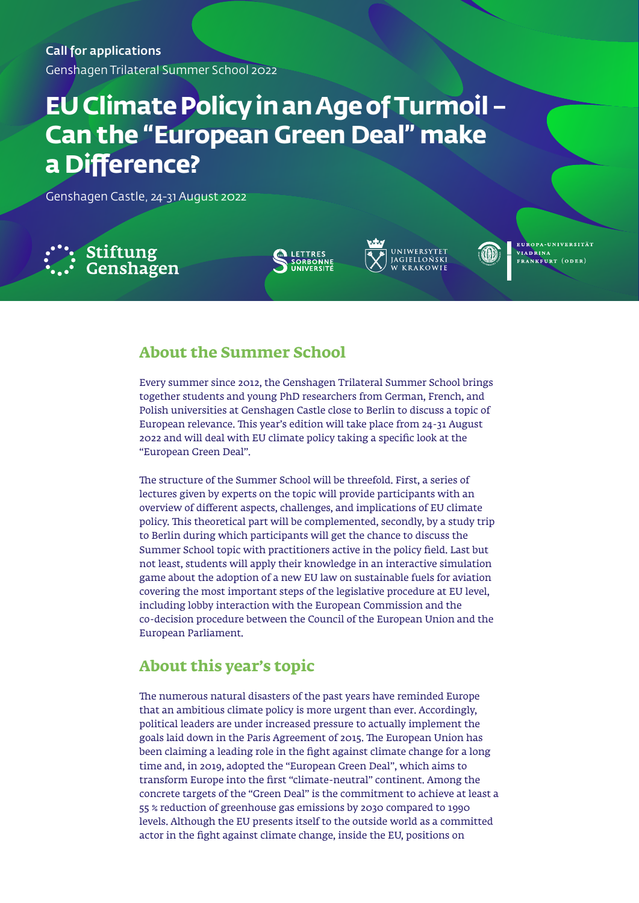Call for applications

Genshagen Trilateral Summer School 2022

# **EU Climate Policy in an Age of Turmoil – Can the "European Green Deal" make a Difference?**

Genshagen Castle, 24-31 August 2022







EUROPA-UNIVERSITÄT VIADRINA FRANKFURT (ODER)

## **About the Summer School**

Every summer since 2012, the Genshagen Trilateral Summer School brings together students and young PhD researchers from German, French, and Polish universities at Genshagen Castle close to Berlin to discuss a topic of European relevance. This year's edition will take place from 24-31 August 2022 and will deal with EU climate policy taking a specific look at the "European Green Deal".

The structure of the Summer School will be threefold. First, a series of lectures given by experts on the topic will provide participants with an overview of different aspects, challenges, and implications of EU climate policy. This theoretical part will be complemented, secondly, by a study trip to Berlin during which participants will get the chance to discuss the Summer School topic with practitioners active in the policy field. Last but not least, students will apply their knowledge in an interactive simulation game about the adoption of a new EU law on sustainable fuels for aviation covering the most important steps of the legislative procedure at EU level, including lobby interaction with the European Commission and the co-decision procedure between the Council of the European Union and the European Parliament.

## **About this year's topic**

The numerous natural disasters of the past years have reminded Europe that an ambitious climate policy is more urgent than ever. Accordingly, political leaders are under increased pressure to actually implement the goals laid down in the Paris Agreement of 2015. The European Union has been claiming a leading role in the fight against climate change for a long time and, in 2019, adopted the "European Green Deal", which aims to transform Europe into the first "climate-neutral" continent. Among the concrete targets of the "Green Deal" is the commitment to achieve at least a 55 % reduction of greenhouse gas emissions by 2030 compared to 1990 levels. Although the EU presents itself to the outside world as a committed actor in the fight against climate change, inside the EU, positions on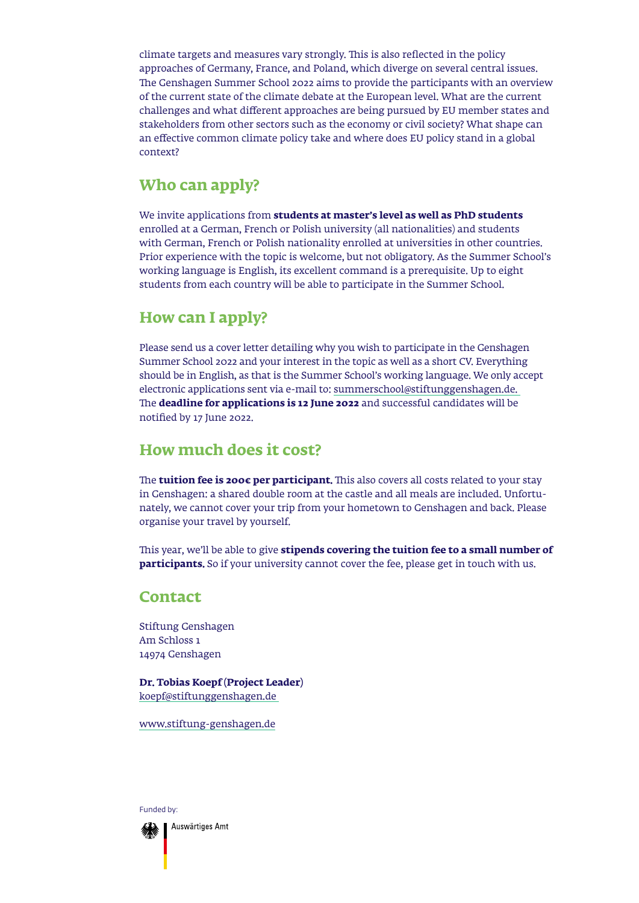climate targets and measures vary strongly. This is also reflected in the policy approaches of Germany, France, and Poland, which diverge on several central issues. The Genshagen Summer School 2022 aims to provide the participants with an overview of the current state of the climate debate at the European level. What are the current challenges and what different approaches are being pursued by EU member states and stakeholders from other sectors such as the economy or civil society? What shape can an effective common climate policy take and where does EU policy stand in a global context?

## **Who can apply?**

We invite applications from **students at master's level as well as PhD students**  enrolled at a German, French or Polish university (all nationalities) and students with German, French or Polish nationality enrolled at universities in other countries. Prior experience with the topic is welcome, but not obligatory. As the Summer School's working language is English, its excellent command is a prerequisite. Up to eight students from each country will be able to participate in the Summer School.

## **How can I apply?**

Please send us a cover letter detailing why you wish to participate in the Genshagen Summer School 2022 and your interest in the topic as well as a short CV. Everything should be in English, as that is the Summer School's working language. We only accept electronic applications sent via e-mail to: [summerschool@stiftunggenshagen.de.](mailto:summerschool%40stiftunggenshagen.de?subject=)  The **deadline for applications is 12 June 2022** and successful candidates will be notified by 17 June 2022.

## **How much does it cost?**

The **tuition fee is 200€ per participant.** This also covers all costs related to your stay in Genshagen: a shared double room at the castle and all meals are included. Unfortunately, we cannot cover your trip from your hometown to Genshagen and back. Please organise your travel by yourself.

This year, we'll be able to give **stipends covering the tuition fee to a small number of participants.** So if your university cannot cover the fee, please get in touch with us.

### **Contact**

Stiftung Genshagen Am Schloss 1 14974 Genshagen

**Dr. Tobias Koepf (Project Leader)** [koepf@stiftunggenshagen.de](mailto:koepf%40stiftunggenshagen.de?subject=)

[www.stiftung-genshagen.de](http://www.stiftung-genshagen.de)

Funded by:

Auswärtiges Amt